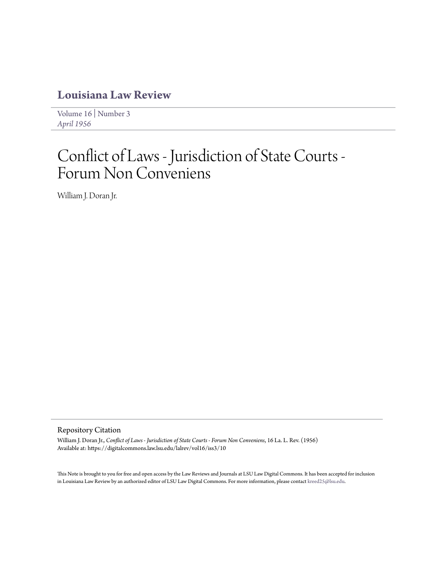## **[Louisiana Law Review](https://digitalcommons.law.lsu.edu/lalrev)**

[Volume 16](https://digitalcommons.law.lsu.edu/lalrev/vol16) | [Number 3](https://digitalcommons.law.lsu.edu/lalrev/vol16/iss3) *[April 1956](https://digitalcommons.law.lsu.edu/lalrev/vol16/iss3)*

# Conflict of Laws - Jurisdiction of State Courts - Forum Non Conveniens

William J. Doran Jr.

### Repository Citation

William J. Doran Jr., *Conflict of Laws - Jurisdiction of State Courts - Forum Non Conveniens*, 16 La. L. Rev. (1956) Available at: https://digitalcommons.law.lsu.edu/lalrev/vol16/iss3/10

This Note is brought to you for free and open access by the Law Reviews and Journals at LSU Law Digital Commons. It has been accepted for inclusion in Louisiana Law Review by an authorized editor of LSU Law Digital Commons. For more information, please contact [kreed25@lsu.edu](mailto:kreed25@lsu.edu).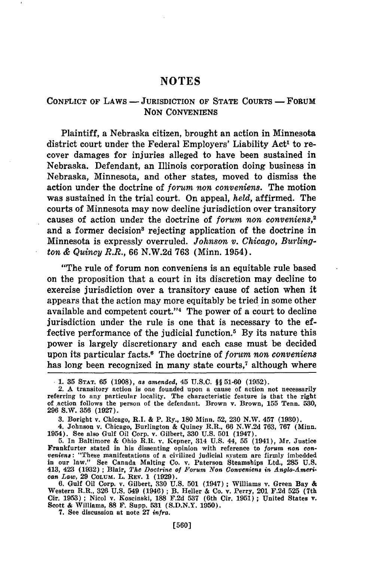#### **NOTES**

#### **CONFLICT** OF LAWS - JURISDICTION OF **STATE COURTS** - FORUM **NON CONVENIENS**

Plaintiff, a Nebraska citizen, brought an action in Minnesota district court under the Federal Employers' Liability Act' to recover damages for injuries alleged to have been sustained in Nebraska. Defendant, an Illinois corporation doing business in Nebraska, Minnesota, and other states, moved to dismiss the action under the doctrine of *forum non conveniens.* The motion was sustained in the trial court. On appeal, *held,* affirmed. The courts of Minnesota may now decline jurisdiction over transitory causes of action under the doctrine of *forum non conveniens,<sup>2</sup>* and a former decision<sup>3</sup> rejecting application of the doctrine in Minnesota is expressly overruled. *Johnson v. Chicago, Burlington & Quincy R.R.,* 66 N.W.2d 763 (Minn. 1954).

"The rule of forum non conveniens is an equitable rule based on the proposition that a court in its discretion may decline to exercise jurisdiction over a transitory cause of action when it appears that the action may more equitably be tried in some other available and competent court."<sup>4</sup> The power of a court to decline jurisdiction under the rule is one that is necessary to the effective performance of the judicial function.<sup>5</sup> By its nature this power is largely discretionary and each case must be decided upon its particular facts.6 The doctrine of *forum non conveniens* has long been recognized in many state courts,<sup>7</sup> although where

4. Johnson v. Chicago, Burlington **&** Quincy R.R., **66 N.W.2d 763, 767** (Minn. 1954). See also Gulf Oil Corp. v. Gilbert, **330 U.S. 501** (1947).

**7.** See discussion at note **27** *infra.*

**<sup>.1. 35</sup> STAT. 65 (1908),** as *amended,* 45 **U.S.C. §§ 51-60 (1952).**

<sup>2.</sup> **A** transitory action is one founded upon a cause of action not necessarily referring to any particular locality. The characteristic feature is that the right of action follows the person of the defendant. Brown v. Brown, **155** Tenn. **530, 296** S.W. **356 (1927).**

**<sup>3.</sup>** Boright v. Chicago, R.I. **&** P. Ry., **180** Minn. **52, 230** N.W. 457 **(1930).**

**<sup>5.</sup>** In Baltimore **&** Ohio R.R. v. Kepner, 314 **U.S.** 44, **55** (1941), Mr. Justice Frankfurter stated in his dissenting opinion with reference to *forum* non con*veniens:* "These manifestations of a civilized judicial system are firmly imbedded in our law." See Canada Malting Co. v. Paterson Steamships Ltd., 285 U.S.<br>413, 423 (1932) ; Blair, *The Doctrine of Forum Non Conveniens in Anglo-American Law.* 29 Colum. L. REv. 1 (1929).

**<sup>6.</sup>** Gulf Oil Corp. v. Gilbert, **330 U.S. 501** (1947) **;** Williams v. Green Bay **&** Western R.R., **326 U.S.** 549 (1946) **;** B. Heller **&** Co. v. Perry, 201 **F.2d 525** (7th Cir. **1953) ;** Nicol v. Koscinski, **188 F.2d 537** (6th Cir. **1951) ;** United States **v.** Scott **&** Williams, **88 F.** Supp. **531 (S.D.N.Y. 1950).**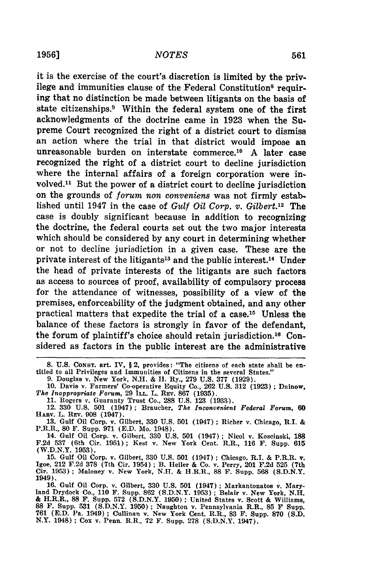it is the exercise of the court's discretion is limited by the privilege and immunities clause of the Federal Constitution<sup>8</sup> requiring that no distinction be made between litigants on the basis of state citizenships.<sup>3</sup> Within the federal system one of the first acknowledgments of the doctrine came in **1923** when the Supreme Court recognized the right of a district court to dismiss an action where the trial in that district would impose an unreasonable burden on interstate commerce.10 A later case recognized the right of a district court to decline jurisdiction where the internal affairs of a foreign corporation were involved.<sup>11</sup> But the power of a district court to decline jurisdiction on the grounds of *forum non conveniens* was not firmly established until 1947 in the case of *Gulf Oil Corp. v. Gilbert.12* The case is doubly significant because in addition to recognizing the doctrine, the federal courts set out the two major interests which should be considered by any court in determining whether or not to decline jurisdiction in a given case. These are the private interest of the litigants<sup>13</sup> and the public interest.<sup>14</sup> Under the head of private interests of the litigants are such factors as access to sources of proof, availability of compulsory process for the attendance of witnesses, possibility of a view of the premises, enforceability of the judgment obtained, and any other practical matters that expedite the trial of a case.<sup>15</sup> Unless the balance of these factors is strongly in favor of the defendant, the forum of plaintiff's choice should retain jurisdiction. 16 Considered as factors in the public interest are the administrative

**9.** Douglas v. New York, **N.H. & 11.** Ry., **279 U.S. 377 (1929).**

**13.** Gulf Oil Corp. v. Gilbert, **330 U.S. 501** (1947) **;** Richer v. Chicago, **R.I. &** P.R.R., **80** F. Supp. **971 (E.D.** Mo. 1948).

14. Gulf Oil Corp. v. Gilbert, **330 U.S. 501** (1947) **;** Nicol v. Koscinski, **188 F.2d 537** (6th Cir. **1951);** Kest v. New York Cent. R.R., **116 F.** Supp. **615** (W.D.N.Y. **1953).**

**15.** Gulf Oil Corp. v. Gilbert, **330 U.S. 501** (1.947) **;** Chicago, R.I. **&** P.R.R. v. Igoe, 212 **F.2d 378** (7th Cir. 1954) **;** B. Heller **&** Co. v. Perry, 201 **F.2d 525** (7th Cir. **1953);** Maloney v. New York, **N.H. &** H.R.R., **88** F. Supp. **568 (S.D.N.Y.** 1949).

16. Gulf Oil Corp. v. Gilbert, 330 U.S. 501 (1947) ; Markantonatos **v.** Maryland Drydock Co., 110 F. Supp. 862 (S.D.N.Y. 1953) ; Belair v. New York, **N.H.** & H.R.R., 88 F. Supp. 572 (S.D.N.Y. 1950); United States v. Scott & Williams,<br>88 F. Supp. 531 (S.D.N.Y. 1950); Naughton v. Pennsylvania R.R., 85 F Supp.<br>761 (E.D. Pa. 1949); Cullinan v. New York Cent. R.R., 83 F. Supp. 870 N.Y. 1948) ; Cox v. Penn. R.R., 72 F. Supp. 278 (S.D.N.Y. 1947).

**<sup>8.</sup> U.S. CONST.** art. IV, § 2, provides: "The citizens of each state shall be en- titled to all Privileges and Immunities of Citizens in the several States."

**<sup>10.</sup>** Davis **v.** Farmers' Co-operative Equity Co., **262 U.S. 312 (1923) ;** Dainow, *The Inappropriate Forum,* 29 **ILL.** L. **REV. 867 (1935).**

**<sup>11.</sup>** Rogers v. Guaranty Trust Co., **288 U.S.** 123 **(1933).**

<sup>12.</sup> **330 U.S. 501** (1947) **;** Braucher, *The Inconvenient Federal Forum,* **60** HAaV. L. **REV.** 908 (1947).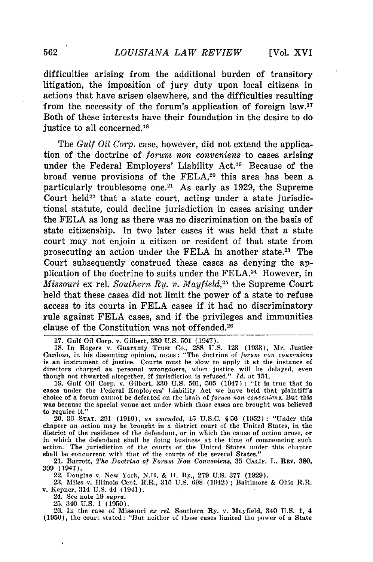difficulties arising from the additional burden of transitory litigation, the imposition of jury duty upon local citizens in actions that have arisen elsewhere, and the difficulties resulting from the necessity of the forum's application of foreign law.<sup>17</sup> Both of these interests have their foundation in the desire to do justice to all concerned.18

The *Gulf Oil Corp.* case, however, did not extend the application of the doctrine of *forum non conveniens* to cases arising under the Federal Employers' Liability Act.'9 Because of the broad venue provisions of the FELA,<sup>20</sup> this area has been a particularly troublesome one.<sup>21</sup> As early as 1929, the Supreme Court held $^{22}$  that a state court, acting under a state jurisdictional statute, could decline jurisdiction in cases arising under the **FELA** as long as there was no discrimination on the basis of state citizenship. In two later cases it was held that a state court may not enjoin a citizen or resident of that state from prosecuting an action under the **FELA** in another state.23 The Court subsequently construed these cases as denying the application of the doctrine to suits under the FELA.<sup>24</sup> However, in *Missouri* ex rel. *Southern Ry. v. Mayfield*,<sup>25</sup> the Supreme Court held that these cases did not limit the power of a state to refuse access to its courts in **FELA** cases if it had no discriminatory rule against **FELA** cases, and if the privileges and immunities clause of the Constitution was not offended.<sup>26</sup>

20. 36 **STAT.** 291 (1910), *as amended,* 45 U.S.C. § 56 (1952) **:** "Under this chapter an action may be brought in a district court of the United States, in the district of the residence of the defendant, or in which the cause of action arose, or in which the defendant shall be doing business at the time of commencing such action. The jurisdiction of the courts of the United States under this chapter shall be concurrent with that of the courts of the several States."

21. Barrett, *The Doctrine of Forum* Non *Conveniens,* **35 CALIF.** L. REv. **380, 399** (1947).

22. Douglas v. New York, N.H. & H. Ry., 279 U.S. 377 (1929).

23. Miles v. Illinois Cent. R.R., **315** U.S. 698 (1942) **;** Baltimore & Ohio R.R. v. Kepner, 314 U.S. 44 (1941).

24. See note 19 *supra.*

25. 340 U.S. 1 (1950).

26. In the case of Missouri ex *rel.* Southern Ry. v. Mayfield, 340 U.S. 1, 4 (1950), the court stated: "But neither of these cases limited the power of a State

<sup>17.</sup> Gulf Oil Corp. v. Gilbert, **330** U.S. 501 (1947). 18. In Rogers v. Guaranty Trust Co., 288 U.S. 12.3 (1933), Mr. Justice Cardozo, in his dissenting opinion, notes: "The doctrine of *forum non convcniens* is an instrument of justice. Courts must **be** slow to apply it at the instance of directors charged as personal wrongdoers, when justice will be delayed, ever though not thwarted altogether, if jurisdiction is refused." **Id** at 151.

<sup>19.</sup> Gulf Oil Corp. v. Gilbert, 330 U.S. 501, 505 (1947) : "It is true that in cases under the Federal Employers' Liability Act we have held that plaintiff's choice of a forum cannot be defeated on the basis of *forum non conveniens.* But this was because the special venue act under which those cases are brought was believed to require it."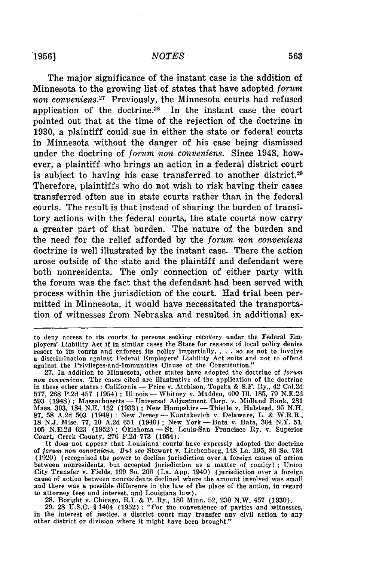The major significance of the instant case is the addition of Minnesota to the growing list of states that have adopted *forum* non conveniens.<sup>27</sup> Previously, the Minnesota courts had refused application of the doctrine.28 In the instant case the court pointed out that at the time of the rejection of the doctrine in 1930, a plaintiff could sue in either the state or federal courts in Minnesota without the danger of his case being dismissed under the doctrine of *forum non conveniens.* Since 1948, however, a plaintiff who brings an action in a federal district court is subject to having his case transferred to another district.<sup>29</sup> Therefore, plaintiffs who do not wish to risk having their cases transferred often sue in state courts rather than in the federal courts. The result is that instead of sharing the burden of transitory actions with the federal courts, the state courts now carry a greater part of that burden. The nature of the burden and the need for the relief afforded by the *forum non conveniens* doctrine is well illustrated by the instant case. There the action arose outside of the state and the plaintiff and defendant were both nonresidents. The only connection of either party with the forum was the fact that the defendant had been served with process within the jurisdiction of the court. Had trial been permitted in Minnesota, it would have necessitated the transportation of witnesses from Nebraska and resulted in additional ex-

28. Boright v. Chicago, R.I. & P. Ry., 180 Minn. 52, 230 N.W. 457 (1930). 29. 28 U.S.C. § 1404 (1952) **:** "For the convenience of parties and witnesses,

in the interest of justice, a district court may transfer any civil action to any other district or division where it might have been brought."

to deny access to its courts to persons seeking recovery under the Federal Employers' Liability Act if in similar cases the State for reasons of local policy denies resort to its courts and enforces its policy impartially, . ..so as not to involve a discrimination against Federal Employers' Liability Act suits and not to offend against the Privileges-and-Immunities Clause of the Constitution."

<sup>27.</sup> In addition to Minnesota, other states have adopted the doctrine of *forum* non conveniens. The cases cited are illustrative of the application of the doctrine in these other states: California **-** Price v. Atchison, Topeka & **S.F.** Ry., 42 Cal.2d 577, 268 P.2d 457 (1954) **;** Illinois- Whitney v. Madden, 400 Ill. 185, 79 N.E.2d 593 (1948); Massachusetts — Universal Adjustment Corp. v. Midland Bank, 281<br>Mass. 303, 184 N.E. 152 (1933); New Hampshire — Thistle v. Halstead, 95 N.H.<br>87, 58 A.2d 503 (1948); New Jersey — Kantakevich v. Delaware, L. & W. 105 N.E.2d 623 (1952); Oklahoma- St. Louis-San Francisco Ry. v. Superior Court, Creek County, 276 P.2d 773 (1954).

It does not appear that Louisiana courts have expressly adopted the doctrine of *forum non* conveniens. *But see* Stewart v. Litchenberg, 148 La. **195,** 86 So. 734 (1920) (recognized the power to decline jurisdiction over a foreign cause of action between nonresidents, but accepted jurisdiction as a matter of comity); Union City Transfer v. Fields, **199** So. 206 (La. App. 1940) (jurisdiction over a foreign cause of action between nonresidents declined where the amount involved was small and there was a possible difference in the law of the place of the action, in regard to attorney fees and interest, and Louisiana law).